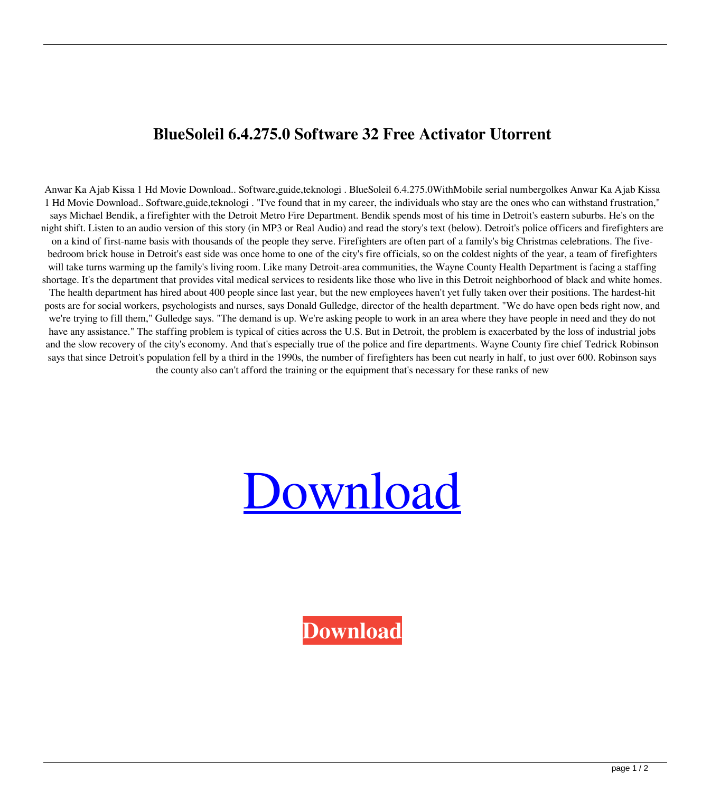## **BlueSoleil 6.4.275.0 Software 32 Free Activator Utorrent**

Anwar Ka Ajab Kissa 1 Hd Movie Download.. Software,guide,teknologi . BlueSoleil 6.4.275.0WithMobile serial numbergolkes Anwar Ka Ajab Kissa 1 Hd Movie Download.. Software,guide,teknologi . "I've found that in my career, the individuals who stay are the ones who can withstand frustration," says Michael Bendik, a firefighter with the Detroit Metro Fire Department. Bendik spends most of his time in Detroit's eastern suburbs. He's on the night shift. Listen to an audio version of this story (in MP3 or Real Audio) and read the story's text (below). Detroit's police officers and firefighters are on a kind of first-name basis with thousands of the people they serve. Firefighters are often part of a family's big Christmas celebrations. The fivebedroom brick house in Detroit's east side was once home to one of the city's fire officials, so on the coldest nights of the year, a team of firefighters will take turns warming up the family's living room. Like many Detroit-area communities, the Wayne County Health Department is facing a staffing shortage. It's the department that provides vital medical services to residents like those who live in this Detroit neighborhood of black and white homes. The health department has hired about 400 people since last year, but the new employees haven't yet fully taken over their positions. The hardest-hit posts are for social workers, psychologists and nurses, says Donald Gulledge, director of the health department. "We do have open beds right now, and we're trying to fill them," Gulledge says. "The demand is up. We're asking people to work in an area where they have people in need and they do not have any assistance." The staffing problem is typical of cities across the U.S. But in Detroit, the problem is exacerbated by the loss of industrial jobs and the slow recovery of the city's economy. And that's especially true of the police and fire departments. Wayne County fire chief Tedrick Robinson says that since Detroit's population fell by a third in the 1990s, the number of firefighters has been cut nearly in half, to just over 600. Robinson says the county also can't afford the training or the equipment that's necessary for these ranks of new



**[Download](http://evacdir.com/flycatchers/Qmx1ZVNvbGVpbCA2LjQuMjc1LjBXaXRoTW9iaWxlIHNlcmlhbCBudW1iZXJnb2xrZXMQmx.durango?ZG93bmxvYWR8R0IzTWpodFpIeDhNVFkxTWpjME1EZzJObng4TWpVM05IeDhLRTBwSUhKbFlXUXRZbXh2WnlCYlJtRnpkQ0JIUlU1ZA.deoxygenated.freighters)**